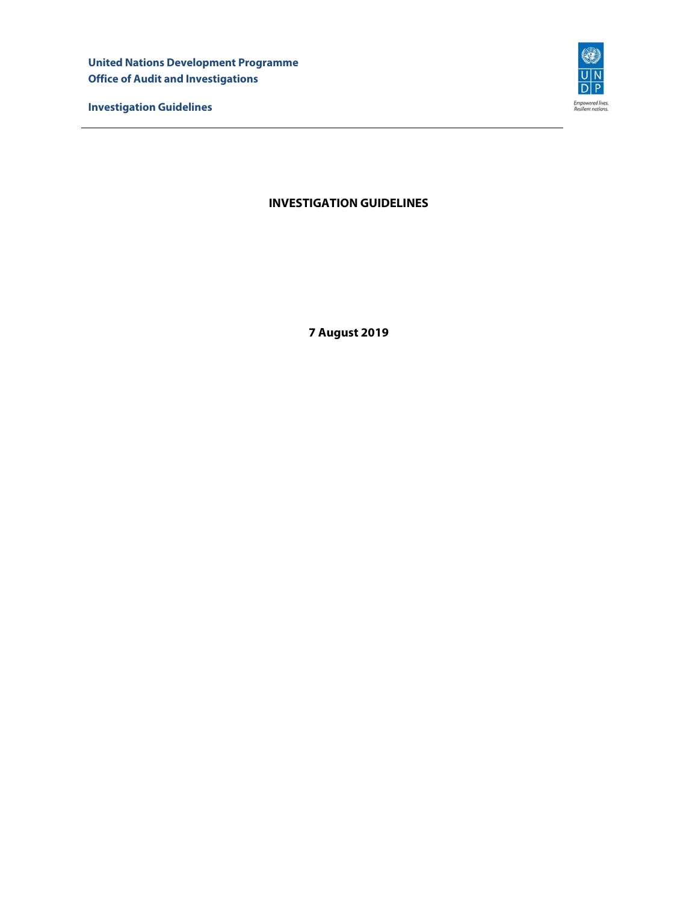**United Nations Development Programme Office of Audit and Investigations** 

**Investigation Guidelines** 



# **INVESTIGATION GUIDELINES**

**7 August 2019**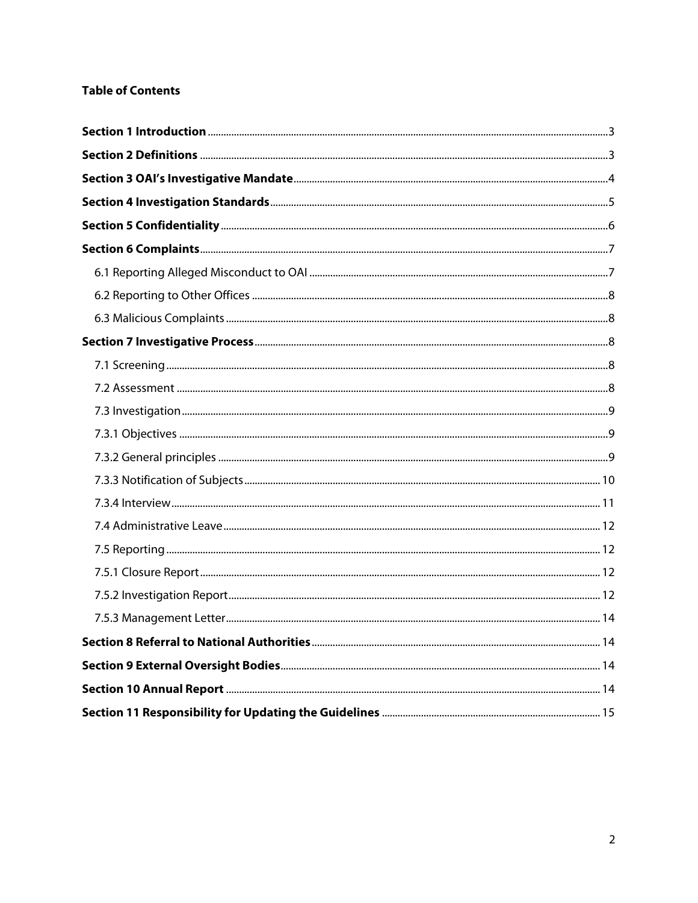# **Table of Contents**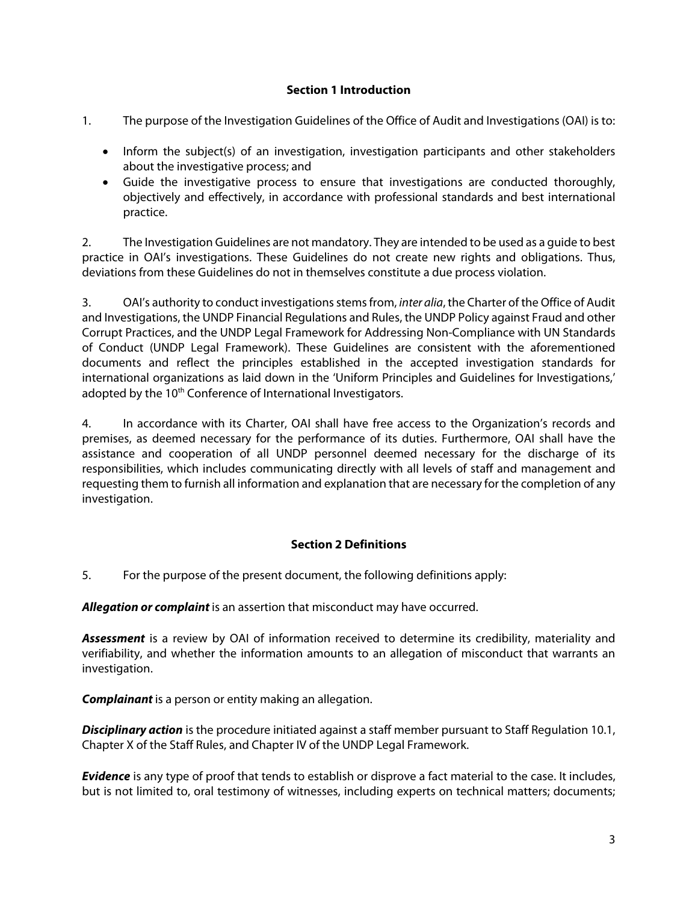#### **Section 1 Introduction**

- 1. The purpose of the Investigation Guidelines of the Office of Audit and Investigations (OAI) is to:
	- Inform the subject(s) of an investigation, investigation participants and other stakeholders about the investigative process; and
	- Guide the investigative process to ensure that investigations are conducted thoroughly, objectively and effectively, in accordance with professional standards and best international practice.

2. The Investigation Guidelines are not mandatory. They are intended to be used as a guide to best practice in OAI's investigations. These Guidelines do not create new rights and obligations. Thus, deviations from these Guidelines do not in themselves constitute a due process violation.

3. OAI's authority to conduct investigations stems from, *inter alia*, the Charter of the Office of Audit and Investigations, the UNDP Financial Regulations and Rules, the UNDP Policy against Fraud and other Corrupt Practices, and the UNDP Legal Framework for Addressing Non-Compliance with UN Standards of Conduct (UNDP Legal Framework). These Guidelines are consistent with the aforementioned documents and reflect the principles established in the accepted investigation standards for international organizations as laid down in the 'Uniform Principles and Guidelines for Investigations,' adopted by the 10<sup>th</sup> Conference of International Investigators.

4. In accordance with its Charter, OAI shall have free access to the Organization's records and premises, as deemed necessary for the performance of its duties. Furthermore, OAI shall have the assistance and cooperation of all UNDP personnel deemed necessary for the discharge of its responsibilities, which includes communicating directly with all levels of staff and management and requesting them to furnish all information and explanation that are necessary for the completion of any investigation.

# **Section 2 Definitions**

5. For the purpose of the present document, the following definitions apply:

**Allegation or complaint** is an assertion that misconduct may have occurred.

**Assessment** is a review by OAI of information received to determine its credibility, materiality and verifiability, and whether the information amounts to an allegation of misconduct that warrants an investigation.

**Complainant** is a person or entity making an allegation.

**Disciplinary action** is the procedure initiated against a staff member pursuant to Staff Regulation 10.1, Chapter X of the Staff Rules, and Chapter IV of the UNDP Legal Framework.

**Evidence** is any type of proof that tends to establish or disprove a fact material to the case. It includes, but is not limited to, oral testimony of witnesses, including experts on technical matters; documents;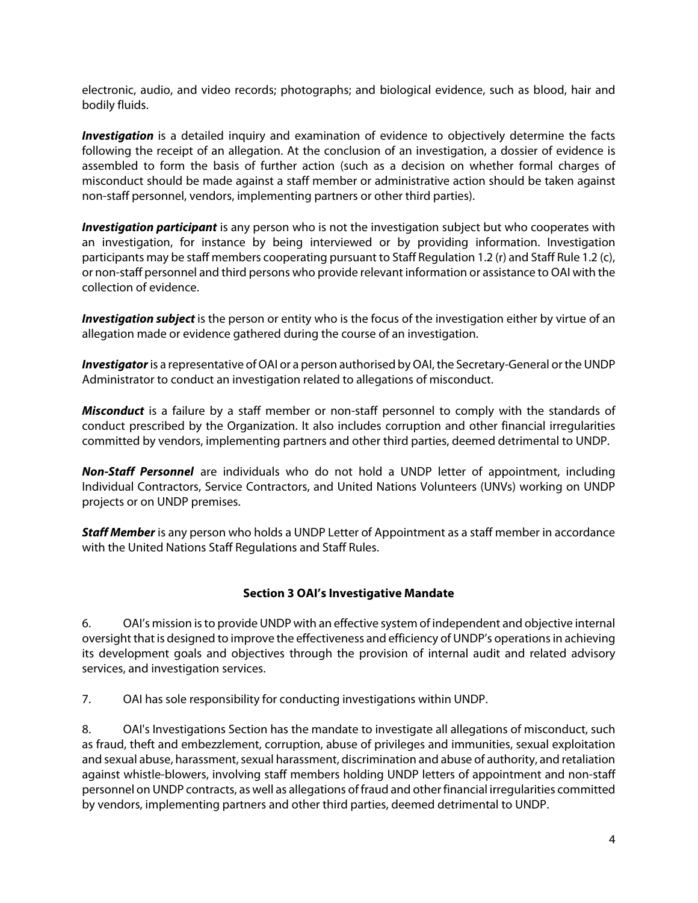electronic, audio, and video records; photographs; and biological evidence, such as blood, hair and bodily fluids.

**Investigation** is a detailed inquiry and examination of evidence to objectively determine the facts following the receipt of an allegation. At the conclusion of an investigation, a dossier of evidence is assembled to form the basis of further action (such as a decision on whether formal charges of misconduct should be made against a staff member or administrative action should be taken against non-staff personnel, vendors, implementing partners or other third parties).

**Investigation participant** is any person who is not the investigation subject but who cooperates with an investigation, for instance by being interviewed or by providing information. Investigation participants may be staff members cooperating pursuant to Staff Regulation 1.2 (r) and Staff Rule 1.2 (c), or non-staff personnel and third persons who provide relevant information or assistance to OAI with the collection of evidence.

**Investigation subject** is the person or entity who is the focus of the investigation either by virtue of an allegation made or evidence gathered during the course of an investigation.

**Investigator** is a representative of OAI or a person authorised by OAI, the Secretary-General or the UNDP Administrator to conduct an investigation related to allegations of misconduct.

**Misconduct** is a failure by a staff member or non-staff personnel to comply with the standards of conduct prescribed by the Organization. It also includes corruption and other financial irregularities committed by vendors, implementing partners and other third parties, deemed detrimental to UNDP.

**Non-Staff Personnel** are individuals who do not hold a UNDP letter of appointment, including Individual Contractors, Service Contractors, and United Nations Volunteers (UNVs) working on UNDP projects or on UNDP premises.

**Staff Member** is any person who holds a UNDP Letter of Appointment as a staff member in accordance with the United Nations Staff Regulations and Staff Rules.

# **Section 3 OAI's Investigative Mandate**

6. OAI's mission is to provide UNDP with an effective system of independent and objective internal oversight that is designed to improve the effectiveness and efficiency of UNDP's operations in achieving its development goals and objectives through the provision of internal audit and related advisory services, and investigation services.

7. OAI has sole responsibility for conducting investigations within UNDP.

8. OAI's Investigations Section has the mandate to investigate all allegations of misconduct, such as fraud, theft and embezzlement, corruption, abuse of privileges and immunities, sexual exploitation and sexual abuse, harassment, sexual harassment, discrimination and abuse of authority, and retaliation against whistle-blowers, involving staff members holding UNDP letters of appointment and non-staff personnel on UNDP contracts, as well as allegations of fraud and other financial irregularities committed by vendors, implementing partners and other third parties, deemed detrimental to UNDP.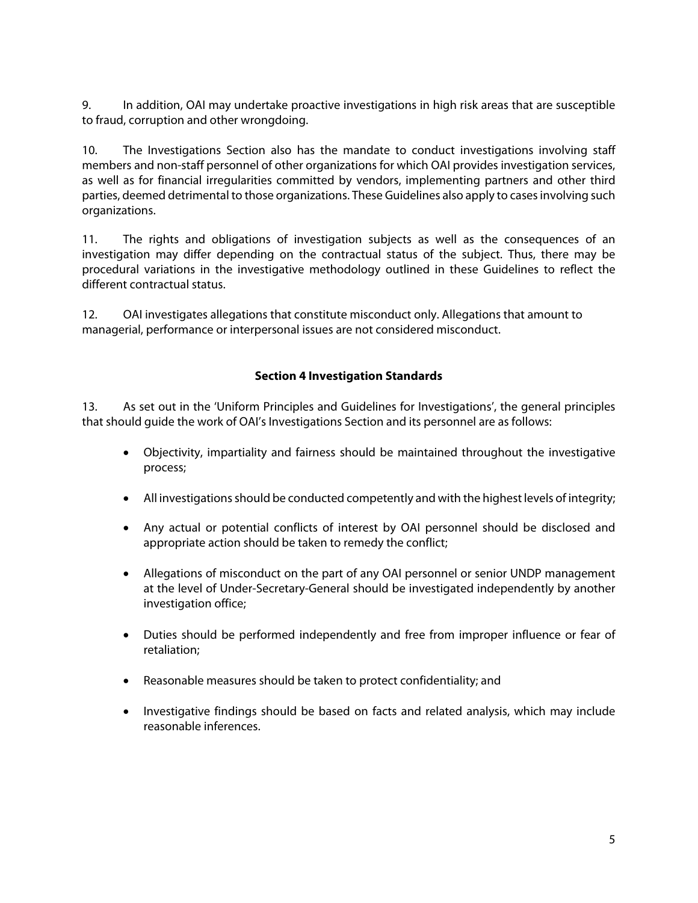9. In addition, OAI may undertake proactive investigations in high risk areas that are susceptible to fraud, corruption and other wrongdoing.

10. The Investigations Section also has the mandate to conduct investigations involving staff members and non-staff personnel of other organizations for which OAI provides investigation services, as well as for financial irregularities committed by vendors, implementing partners and other third parties, deemed detrimental to those organizations. These Guidelines also apply to cases involving such organizations.

11. The rights and obligations of investigation subjects as well as the consequences of an investigation may differ depending on the contractual status of the subject. Thus, there may be procedural variations in the investigative methodology outlined in these Guidelines to reflect the different contractual status.

12. OAI investigates allegations that constitute misconduct only. Allegations that amount to managerial, performance or interpersonal issues are not considered misconduct.

# **Section 4 Investigation Standards**

13. As set out in the 'Uniform Principles and Guidelines for Investigations', the general principles that should guide the work of OAI's Investigations Section and its personnel are as follows:

- Objectivity, impartiality and fairness should be maintained throughout the investigative process;
- All investigations should be conducted competently and with the highest levels of integrity;
- Any actual or potential conflicts of interest by OAI personnel should be disclosed and appropriate action should be taken to remedy the conflict;
- Allegations of misconduct on the part of any OAI personnel or senior UNDP management at the level of Under-Secretary-General should be investigated independently by another investigation office;
- Duties should be performed independently and free from improper influence or fear of retaliation;
- Reasonable measures should be taken to protect confidentiality; and
- Investigative findings should be based on facts and related analysis, which may include reasonable inferences.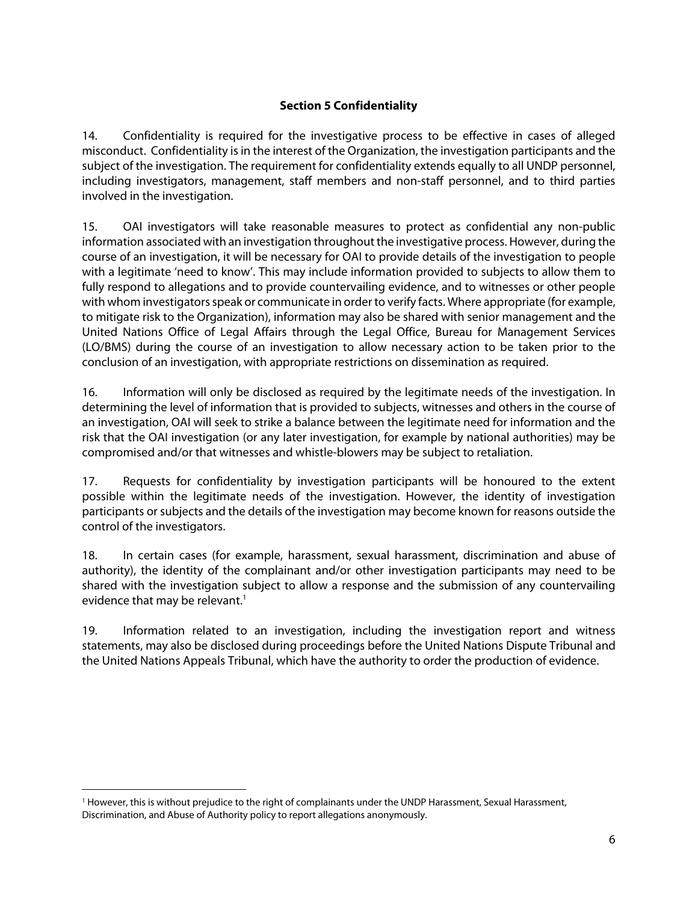# **Section 5 Confidentiality**

14. Confidentiality is required for the investigative process to be effective in cases of alleged misconduct. Confidentiality is in the interest of the Organization, the investigation participants and the subject of the investigation. The requirement for confidentiality extends equally to all UNDP personnel, including investigators, management, staff members and non-staff personnel, and to third parties involved in the investigation.

15. OAI investigators will take reasonable measures to protect as confidential any non-public information associated with an investigation throughout the investigative process. However, during the course of an investigation, it will be necessary for OAI to provide details of the investigation to people with a legitimate 'need to know'. This may include information provided to subjects to allow them to fully respond to allegations and to provide countervailing evidence, and to witnesses or other people with whom investigators speak or communicate in order to verify facts. Where appropriate (for example, to mitigate risk to the Organization), information may also be shared with senior management and the United Nations Office of Legal Affairs through the Legal Office, Bureau for Management Services (LO/BMS) during the course of an investigation to allow necessary action to be taken prior to the conclusion of an investigation, with appropriate restrictions on dissemination as required.

16. Information will only be disclosed as required by the legitimate needs of the investigation. In determining the level of information that is provided to subjects, witnesses and others in the course of an investigation, OAI will seek to strike a balance between the legitimate need for information and the risk that the OAI investigation (or any later investigation, for example by national authorities) may be compromised and/or that witnesses and whistle-blowers may be subject to retaliation.

17. Requests for confidentiality by investigation participants will be honoured to the extent possible within the legitimate needs of the investigation. However, the identity of investigation participants or subjects and the details of the investigation may become known for reasons outside the control of the investigators.

18. In certain cases (for example, harassment, sexual harassment, discrimination and abuse of authority), the identity of the complainant and/or other investigation participants may need to be shared with the investigation subject to allow a response and the submission of any countervailing evidence that may be relevant.<sup>1</sup>

19. Information related to an investigation, including the investigation report and witness statements, may also be disclosed during proceedings before the United Nations Dispute Tribunal and the United Nations Appeals Tribunal, which have the authority to order the production of evidence.

 $\overline{a}$ 

<sup>&</sup>lt;sup>1</sup> However, this is without prejudice to the right of complainants under the UNDP Harassment, Sexual Harassment, Discrimination, and Abuse of Authority policy to report allegations anonymously.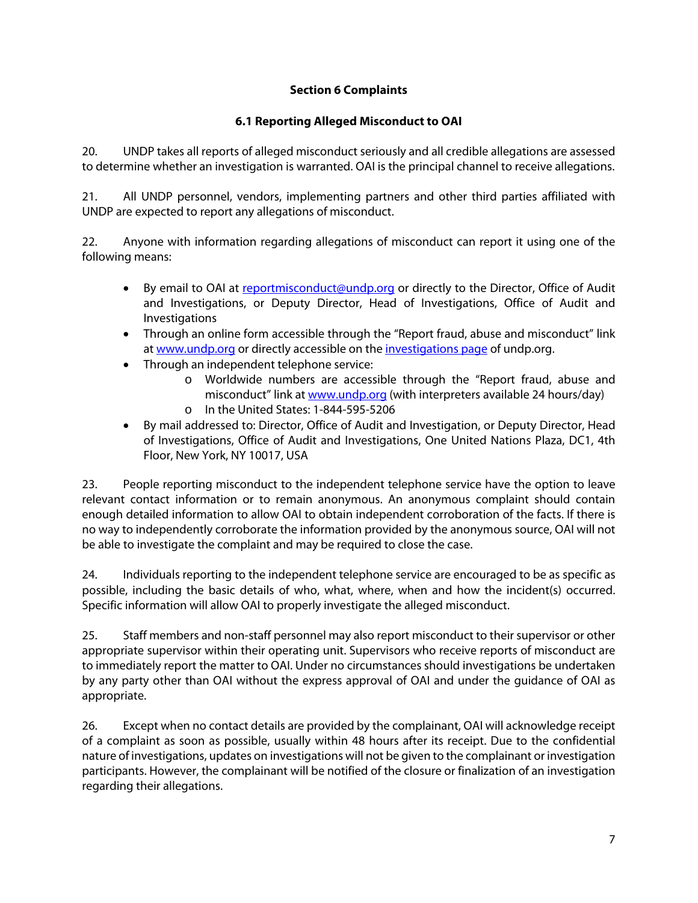# **Section 6 Complaints**

# **6.1 Reporting Alleged Misconduct to OAI**

20. UNDP takes all reports of alleged misconduct seriously and all credible allegations are assessed to determine whether an investigation is warranted. OAI is the principal channel to receive allegations.

21. All UNDP personnel, vendors, implementing partners and other third parties affiliated with UNDP are expected to report any allegations of misconduct.

22. Anyone with information regarding allegations of misconduct can report it using one of the following means:

- By email to OAI at reportmisconduct@undp.org or directly to the Director, Office of Audit and Investigations, or Deputy Director, Head of Investigations, Office of Audit and Investigations
- Through an online form accessible through the "Report fraud, abuse and misconduct" link at www.undp.org or directly accessible on the investigations page of undp.org.
- Through an independent telephone service:
	- o Worldwide numbers are accessible through the "Report fraud, abuse and misconduct" link at www.undp.org (with interpreters available 24 hours/day)
	- o In the United States: 1-844-595-5206
- By mail addressed to: Director, Office of Audit and Investigation, or Deputy Director, Head of Investigations, Office of Audit and Investigations, One United Nations Plaza, DC1, 4th Floor, New York, NY 10017, USA

23. People reporting misconduct to the independent telephone service have the option to leave relevant contact information or to remain anonymous. An anonymous complaint should contain enough detailed information to allow OAI to obtain independent corroboration of the facts. If there is no way to independently corroborate the information provided by the anonymous source, OAI will not be able to investigate the complaint and may be required to close the case.

24. Individuals reporting to the independent telephone service are encouraged to be as specific as possible, including the basic details of who, what, where, when and how the incident(s) occurred. Specific information will allow OAI to properly investigate the alleged misconduct.

25. Staff members and non-staff personnel may also report misconduct to their supervisor or other appropriate supervisor within their operating unit. Supervisors who receive reports of misconduct are to immediately report the matter to OAI. Under no circumstances should investigations be undertaken by any party other than OAI without the express approval of OAI and under the guidance of OAI as appropriate.

26. Except when no contact details are provided by the complainant, OAI will acknowledge receipt of a complaint as soon as possible, usually within 48 hours after its receipt. Due to the confidential nature of investigations, updates on investigations will not be given to the complainant or investigation participants. However, the complainant will be notified of the closure or finalization of an investigation regarding their allegations.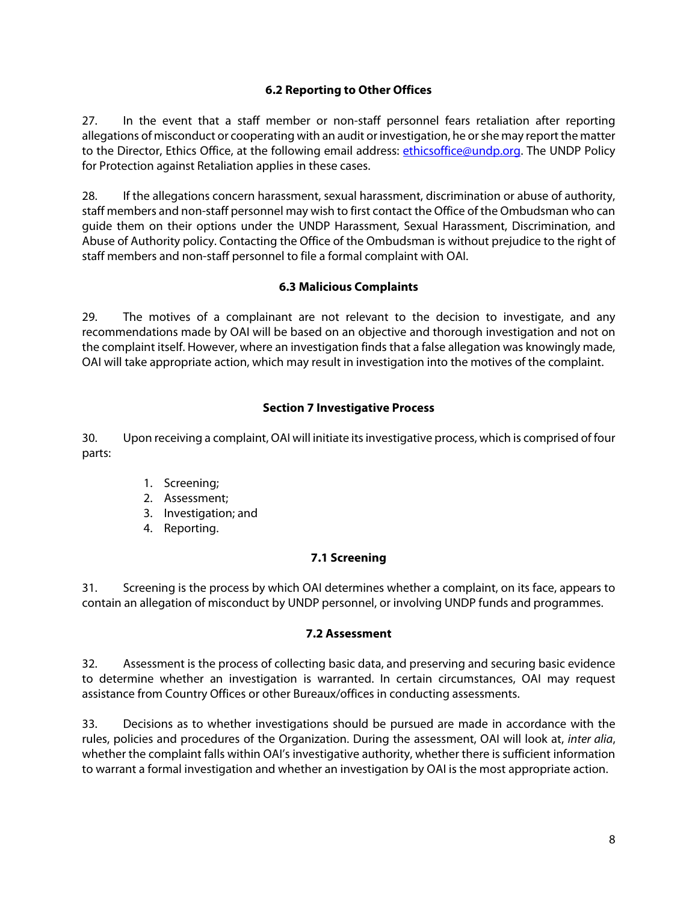# **6.2 Reporting to Other Offices**

27. In the event that a staff member or non-staff personnel fears retaliation after reporting allegations of misconduct or cooperating with an audit or investigation, he or she may report the matter to the Director, Ethics Office, at the following email address: ethicsoffice@undp.org. The UNDP Policy for Protection against Retaliation applies in these cases.

28. If the allegations concern harassment, sexual harassment, discrimination or abuse of authority, staff members and non-staff personnel may wish to first contact the Office of the Ombudsman who can guide them on their options under the UNDP Harassment, Sexual Harassment, Discrimination, and Abuse of Authority policy. Contacting the Office of the Ombudsman is without prejudice to the right of staff members and non-staff personnel to file a formal complaint with OAI.

# **6.3 Malicious Complaints**

29. The motives of a complainant are not relevant to the decision to investigate, and any recommendations made by OAI will be based on an objective and thorough investigation and not on the complaint itself. However, where an investigation finds that a false allegation was knowingly made, OAI will take appropriate action, which may result in investigation into the motives of the complaint.

# **Section 7 Investigative Process**

30. Upon receiving a complaint, OAI will initiate its investigative process, which is comprised of four parts:

- 1. Screening;
- 2. Assessment;
- 3. Investigation; and
- 4. Reporting.

# **7.1 Screening**

31. Screening is the process by which OAI determines whether a complaint, on its face, appears to contain an allegation of misconduct by UNDP personnel, or involving UNDP funds and programmes.

#### **7.2 Assessment**

32. Assessment is the process of collecting basic data, and preserving and securing basic evidence to determine whether an investigation is warranted. In certain circumstances, OAI may request assistance from Country Offices or other Bureaux/offices in conducting assessments.

33. Decisions as to whether investigations should be pursued are made in accordance with the rules, policies and procedures of the Organization. During the assessment, OAI will look at, inter alia, whether the complaint falls within OAI's investigative authority, whether there is sufficient information to warrant a formal investigation and whether an investigation by OAI is the most appropriate action.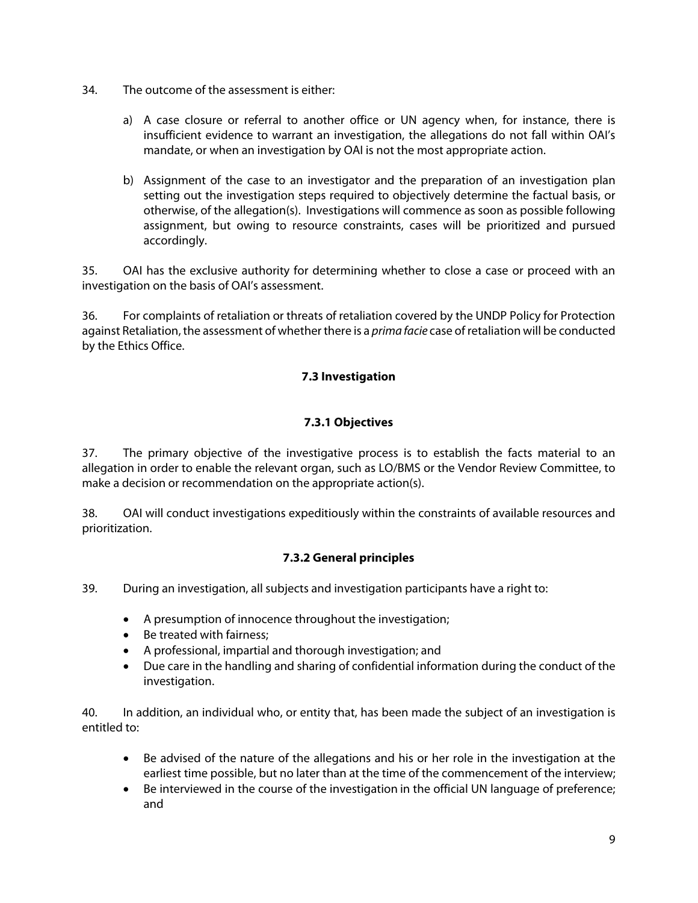- 34. The outcome of the assessment is either:
	- a) A case closure or referral to another office or UN agency when, for instance, there is insufficient evidence to warrant an investigation, the allegations do not fall within OAI's mandate, or when an investigation by OAI is not the most appropriate action.
	- b) Assignment of the case to an investigator and the preparation of an investigation plan setting out the investigation steps required to objectively determine the factual basis, or otherwise, of the allegation(s). Investigations will commence as soon as possible following assignment, but owing to resource constraints, cases will be prioritized and pursued accordingly.

35. OAI has the exclusive authority for determining whether to close a case or proceed with an investigation on the basis of OAI's assessment.

36. For complaints of retaliation or threats of retaliation covered by the UNDP Policy for Protection against Retaliation, the assessment of whether there is a *prima facie* case of retaliation will be conducted by the Ethics Office.

# **7.3 Investigation**

# **7.3.1 Objectives**

37. The primary objective of the investigative process is to establish the facts material to an allegation in order to enable the relevant organ, such as LO/BMS or the Vendor Review Committee, to make a decision or recommendation on the appropriate action(s).

38. OAI will conduct investigations expeditiously within the constraints of available resources and prioritization.

# **7.3.2 General principles**

39. During an investigation, all subjects and investigation participants have a right to:

- A presumption of innocence throughout the investigation;
- Be treated with fairness;
- A professional, impartial and thorough investigation; and
- Due care in the handling and sharing of confidential information during the conduct of the investigation.

40. In addition, an individual who, or entity that, has been made the subject of an investigation is entitled to:

- Be advised of the nature of the allegations and his or her role in the investigation at the earliest time possible, but no later than at the time of the commencement of the interview;
- Be interviewed in the course of the investigation in the official UN language of preference; and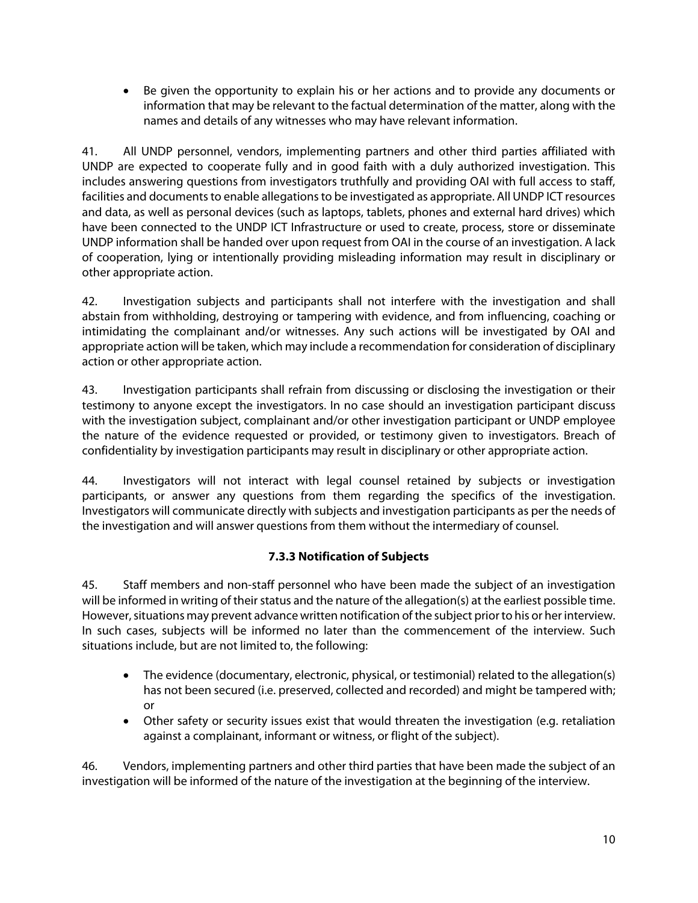Be given the opportunity to explain his or her actions and to provide any documents or information that may be relevant to the factual determination of the matter, along with the names and details of any witnesses who may have relevant information.

41. All UNDP personnel, vendors, implementing partners and other third parties affiliated with UNDP are expected to cooperate fully and in good faith with a duly authorized investigation. This includes answering questions from investigators truthfully and providing OAI with full access to staff, facilities and documents to enable allegations to be investigated as appropriate. All UNDP ICT resources and data, as well as personal devices (such as laptops, tablets, phones and external hard drives) which have been connected to the UNDP ICT Infrastructure or used to create, process, store or disseminate UNDP information shall be handed over upon request from OAI in the course of an investigation. A lack of cooperation, lying or intentionally providing misleading information may result in disciplinary or other appropriate action.

42. Investigation subjects and participants shall not interfere with the investigation and shall abstain from withholding, destroying or tampering with evidence, and from influencing, coaching or intimidating the complainant and/or witnesses. Any such actions will be investigated by OAI and appropriate action will be taken, which may include a recommendation for consideration of disciplinary action or other appropriate action.

43. Investigation participants shall refrain from discussing or disclosing the investigation or their testimony to anyone except the investigators. In no case should an investigation participant discuss with the investigation subject, complainant and/or other investigation participant or UNDP employee the nature of the evidence requested or provided, or testimony given to investigators. Breach of confidentiality by investigation participants may result in disciplinary or other appropriate action.

44. Investigators will not interact with legal counsel retained by subjects or investigation participants, or answer any questions from them regarding the specifics of the investigation. Investigators will communicate directly with subjects and investigation participants as per the needs of the investigation and will answer questions from them without the intermediary of counsel.

# **7.3.3 Notification of Subjects**

45. Staff members and non-staff personnel who have been made the subject of an investigation will be informed in writing of their status and the nature of the allegation(s) at the earliest possible time. However, situations may prevent advance written notification of the subject prior to his or her interview. In such cases, subjects will be informed no later than the commencement of the interview. Such situations include, but are not limited to, the following:

- The evidence (documentary, electronic, physical, or testimonial) related to the allegation(s) has not been secured (i.e. preserved, collected and recorded) and might be tampered with; or
- Other safety or security issues exist that would threaten the investigation (e.g. retaliation against a complainant, informant or witness, or flight of the subject).

46. Vendors, implementing partners and other third parties that have been made the subject of an investigation will be informed of the nature of the investigation at the beginning of the interview.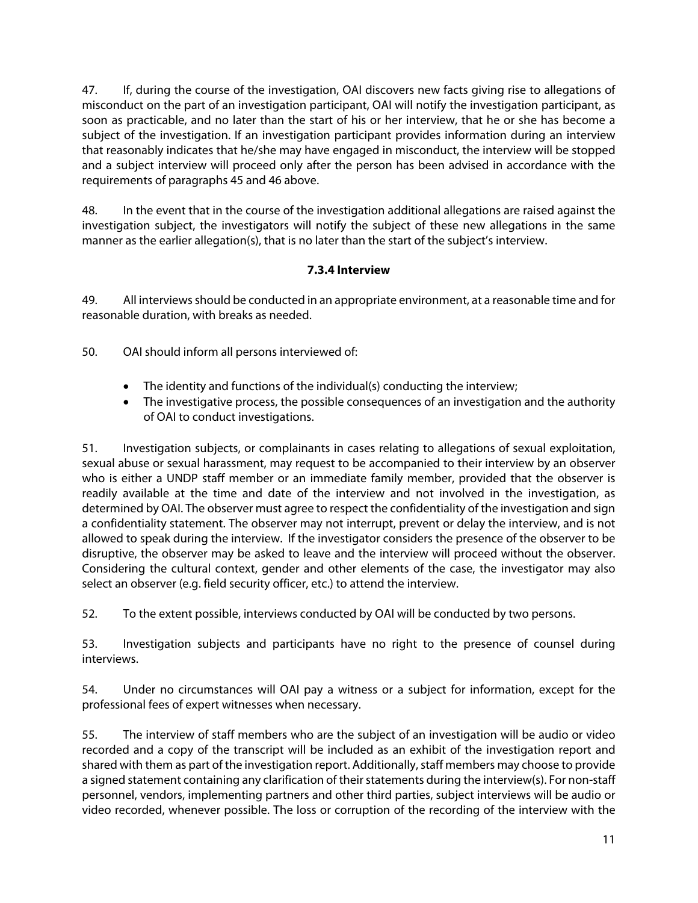47. If, during the course of the investigation, OAI discovers new facts giving rise to allegations of misconduct on the part of an investigation participant, OAI will notify the investigation participant, as soon as practicable, and no later than the start of his or her interview, that he or she has become a subject of the investigation. If an investigation participant provides information during an interview that reasonably indicates that he/she may have engaged in misconduct, the interview will be stopped and a subject interview will proceed only after the person has been advised in accordance with the requirements of paragraphs 45 and 46 above.

48. In the event that in the course of the investigation additional allegations are raised against the investigation subject, the investigators will notify the subject of these new allegations in the same manner as the earlier allegation(s), that is no later than the start of the subject's interview.

# **7.3.4 Interview**

49. All interviews should be conducted in an appropriate environment, at a reasonable time and for reasonable duration, with breaks as needed.

50. OAI should inform all persons interviewed of:

- The identity and functions of the individual(s) conducting the interview;
- The investigative process, the possible consequences of an investigation and the authority of OAI to conduct investigations.

51. Investigation subjects, or complainants in cases relating to allegations of sexual exploitation, sexual abuse or sexual harassment, may request to be accompanied to their interview by an observer who is either a UNDP staff member or an immediate family member, provided that the observer is readily available at the time and date of the interview and not involved in the investigation, as determined by OAI. The observer must agree to respect the confidentiality of the investigation and sign a confidentiality statement. The observer may not interrupt, prevent or delay the interview, and is not allowed to speak during the interview. If the investigator considers the presence of the observer to be disruptive, the observer may be asked to leave and the interview will proceed without the observer. Considering the cultural context, gender and other elements of the case, the investigator may also select an observer (e.g. field security officer, etc.) to attend the interview.

52. To the extent possible, interviews conducted by OAI will be conducted by two persons.

53. Investigation subjects and participants have no right to the presence of counsel during interviews.

54. Under no circumstances will OAI pay a witness or a subject for information, except for the professional fees of expert witnesses when necessary.

55. The interview of staff members who are the subject of an investigation will be audio or video recorded and a copy of the transcript will be included as an exhibit of the investigation report and shared with them as part of the investigation report. Additionally, staff members may choose to provide a signed statement containing any clarification of their statements during the interview(s). For non-staff personnel, vendors, implementing partners and other third parties, subject interviews will be audio or video recorded, whenever possible. The loss or corruption of the recording of the interview with the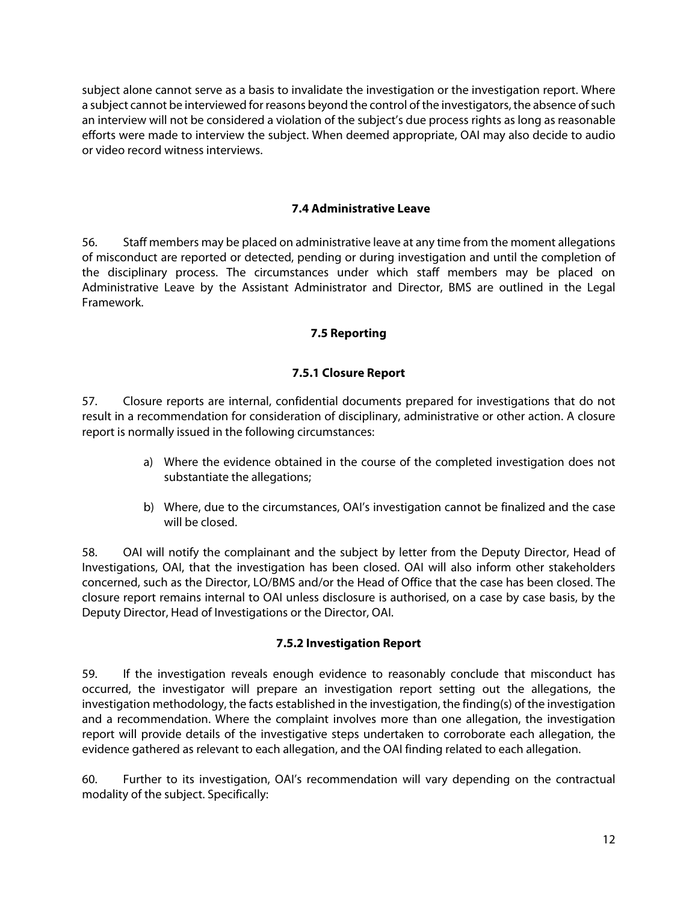subject alone cannot serve as a basis to invalidate the investigation or the investigation report. Where a subject cannot be interviewed for reasons beyond the control of the investigators, the absence of such an interview will not be considered a violation of the subject's due process rights as long as reasonable efforts were made to interview the subject. When deemed appropriate, OAI may also decide to audio or video record witness interviews.

#### **7.4 Administrative Leave**

56. Staff members may be placed on administrative leave at any time from the moment allegations of misconduct are reported or detected, pending or during investigation and until the completion of the disciplinary process. The circumstances under which staff members may be placed on Administrative Leave by the Assistant Administrator and Director, BMS are outlined in the Legal Framework.

# **7.5 Reporting**

# **7.5.1 Closure Report**

57. Closure reports are internal, confidential documents prepared for investigations that do not result in a recommendation for consideration of disciplinary, administrative or other action. A closure report is normally issued in the following circumstances:

- a) Where the evidence obtained in the course of the completed investigation does not substantiate the allegations;
- b) Where, due to the circumstances, OAI's investigation cannot be finalized and the case will be closed.

58. OAI will notify the complainant and the subject by letter from the Deputy Director, Head of Investigations, OAI, that the investigation has been closed. OAI will also inform other stakeholders concerned, such as the Director, LO/BMS and/or the Head of Office that the case has been closed. The closure report remains internal to OAI unless disclosure is authorised, on a case by case basis, by the Deputy Director, Head of Investigations or the Director, OAI.

# **7.5.2 Investigation Report**

59. If the investigation reveals enough evidence to reasonably conclude that misconduct has occurred, the investigator will prepare an investigation report setting out the allegations, the investigation methodology, the facts established in the investigation, the finding(s) of the investigation and a recommendation. Where the complaint involves more than one allegation, the investigation report will provide details of the investigative steps undertaken to corroborate each allegation, the evidence gathered as relevant to each allegation, and the OAI finding related to each allegation.

60. Further to its investigation, OAI's recommendation will vary depending on the contractual modality of the subject. Specifically: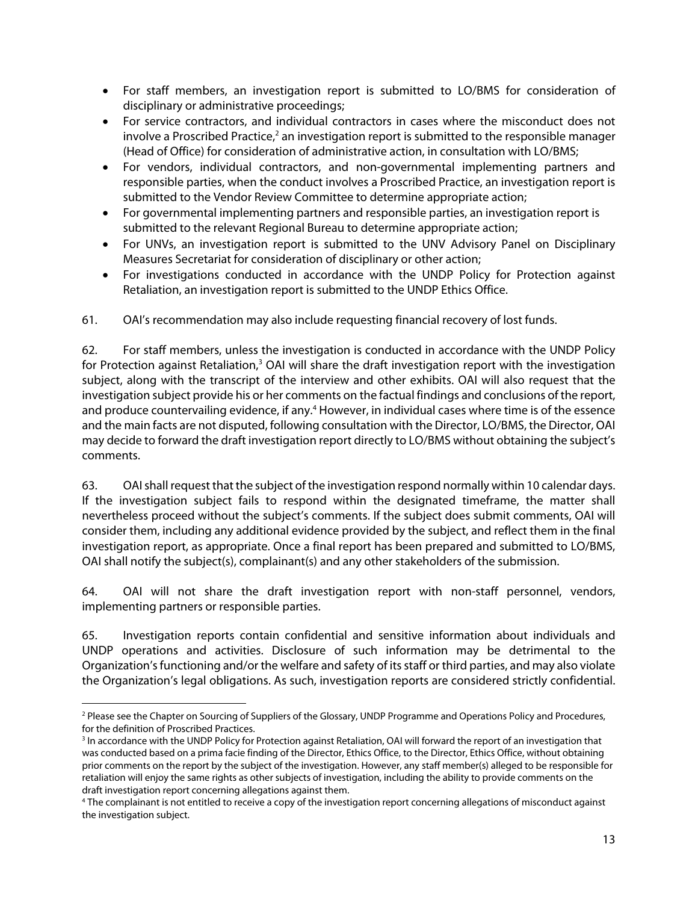- For staff members, an investigation report is submitted to LO/BMS for consideration of disciplinary or administrative proceedings;
- For service contractors, and individual contractors in cases where the misconduct does not involve a Proscribed Practice,<sup>2</sup> an investigation report is submitted to the responsible manager (Head of Office) for consideration of administrative action, in consultation with LO/BMS;
- For vendors, individual contractors, and non-governmental implementing partners and responsible parties, when the conduct involves a Proscribed Practice, an investigation report is submitted to the Vendor Review Committee to determine appropriate action;
- For governmental implementing partners and responsible parties, an investigation report is submitted to the relevant Regional Bureau to determine appropriate action;
- For UNVs, an investigation report is submitted to the UNV Advisory Panel on Disciplinary Measures Secretariat for consideration of disciplinary or other action;
- For investigations conducted in accordance with the UNDP Policy for Protection against Retaliation, an investigation report is submitted to the UNDP Ethics Office.

61. OAI's recommendation may also include requesting financial recovery of lost funds.

62. For staff members, unless the investigation is conducted in accordance with the UNDP Policy for Protection against Retaliation,<sup>3</sup> OAI will share the draft investigation report with the investigation subject, along with the transcript of the interview and other exhibits. OAI will also request that the investigation subject provide his or her comments on the factual findings and conclusions of the report, and produce countervailing evidence, if any.<sup>4</sup> However, in individual cases where time is of the essence and the main facts are not disputed, following consultation with the Director, LO/BMS, the Director, OAI may decide to forward the draft investigation report directly to LO/BMS without obtaining the subject's comments.

63. OAI shall request that the subject of the investigation respond normally within 10 calendar days. If the investigation subject fails to respond within the designated timeframe, the matter shall nevertheless proceed without the subject's comments. If the subject does submit comments, OAI will consider them, including any additional evidence provided by the subject, and reflect them in the final investigation report, as appropriate. Once a final report has been prepared and submitted to LO/BMS, OAI shall notify the subject(s), complainant(s) and any other stakeholders of the submission.

64. OAI will not share the draft investigation report with non-staff personnel, vendors, implementing partners or responsible parties.

65. Investigation reports contain confidential and sensitive information about individuals and UNDP operations and activities. Disclosure of such information may be detrimental to the Organization's functioning and/or the welfare and safety of its staff or third parties, and may also violate the Organization's legal obligations. As such, investigation reports are considered strictly confidential.

<sup>-</sup><sup>2</sup> Please see the Chapter on Sourcing of Suppliers of the Glossary, UNDP Programme and Operations Policy and Procedures, for the definition of Proscribed Practices.

<sup>&</sup>lt;sup>3</sup> In accordance with the UNDP Policy for Protection against Retaliation, OAI will forward the report of an investigation that was conducted based on a prima facie finding of the Director, Ethics Office, to the Director, Ethics Office, without obtaining prior comments on the report by the subject of the investigation. However, any staff member(s) alleged to be responsible for retaliation will enjoy the same rights as other subjects of investigation, including the ability to provide comments on the draft investigation report concerning allegations against them.

<sup>4</sup> The complainant is not entitled to receive a copy of the investigation report concerning allegations of misconduct against the investigation subject.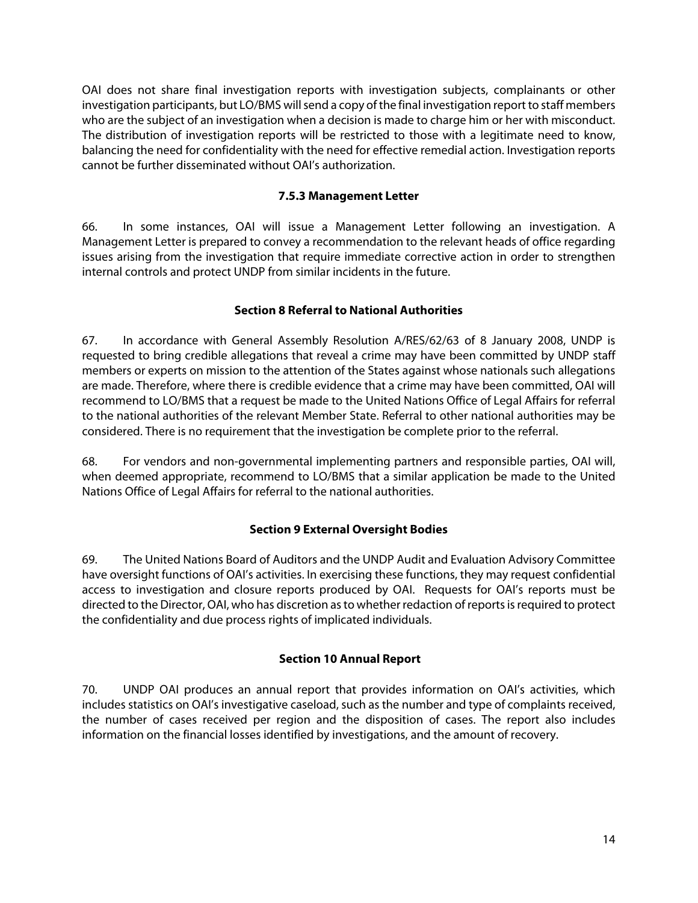OAI does not share final investigation reports with investigation subjects, complainants or other investigation participants, but LO/BMS will send a copy of the final investigation report to staff members who are the subject of an investigation when a decision is made to charge him or her with misconduct. The distribution of investigation reports will be restricted to those with a legitimate need to know, balancing the need for confidentiality with the need for effective remedial action. Investigation reports cannot be further disseminated without OAI's authorization.

#### **7.5.3 Management Letter**

66. In some instances, OAI will issue a Management Letter following an investigation. A Management Letter is prepared to convey a recommendation to the relevant heads of office regarding issues arising from the investigation that require immediate corrective action in order to strengthen internal controls and protect UNDP from similar incidents in the future.

# **Section 8 Referral to National Authorities**

67. In accordance with General Assembly Resolution A/RES/62/63 of 8 January 2008, UNDP is requested to bring credible allegations that reveal a crime may have been committed by UNDP staff members or experts on mission to the attention of the States against whose nationals such allegations are made. Therefore, where there is credible evidence that a crime may have been committed, OAI will recommend to LO/BMS that a request be made to the United Nations Office of Legal Affairs for referral to the national authorities of the relevant Member State. Referral to other national authorities may be considered. There is no requirement that the investigation be complete prior to the referral.

68. For vendors and non-governmental implementing partners and responsible parties, OAI will, when deemed appropriate, recommend to LO/BMS that a similar application be made to the United Nations Office of Legal Affairs for referral to the national authorities.

# **Section 9 External Oversight Bodies**

69. The United Nations Board of Auditors and the UNDP Audit and Evaluation Advisory Committee have oversight functions of OAI's activities. In exercising these functions, they may request confidential access to investigation and closure reports produced by OAI. Requests for OAI's reports must be directed to the Director, OAI, who has discretion as to whether redaction of reports is required to protect the confidentiality and due process rights of implicated individuals.

# **Section 10 Annual Report**

70. UNDP OAI produces an annual report that provides information on OAI's activities, which includes statistics on OAI's investigative caseload, such as the number and type of complaints received, the number of cases received per region and the disposition of cases. The report also includes information on the financial losses identified by investigations, and the amount of recovery.